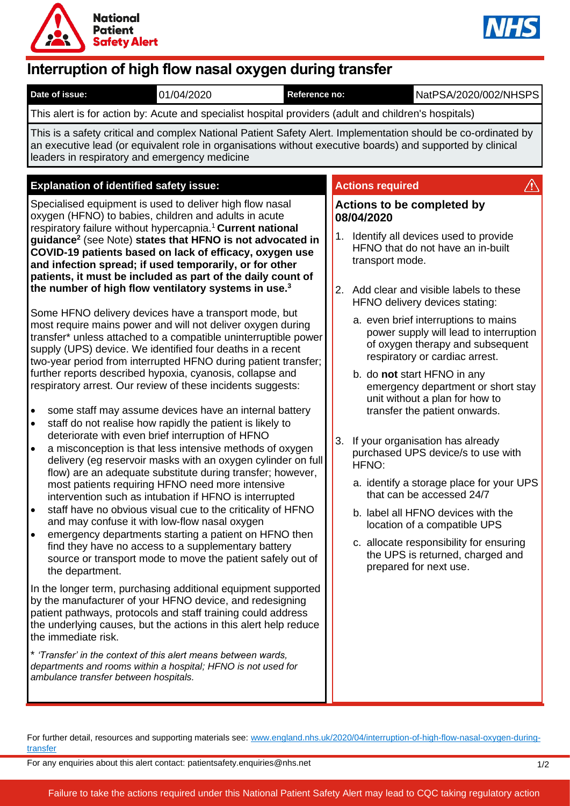



# **Interruption of high flow nasal oxygen during transfer**

| This alert is for action by: Acute and specialist hospital providers (adult and children's hospitals)<br>This is a safety critical and complex National Patient Safety Alert. Implementation should be co-ordinated by<br>an executive lead (or equivalent role in organisations without executive boards) and supported by clinical<br>leaders in respiratory and emergency medicine<br><b>Explanation of identified safety issue:</b>                                                                                                                                                                                                                                                                                                                                                                                                                                                                                                                                                                                                                                                                                                                                                                                                                                                                                                                                                                                                                                                                                                                                                                                                                                                                                                                                                                                                                                                                                                                                                                                                                                                                                                                                                                             | <b>Actions required</b><br>Actions to be completed by<br>08/04/2020                                                                                                                                                                                                                                                                                                                                                                                                                                                                                                                                                                                                                                                                                                                                                               |
|---------------------------------------------------------------------------------------------------------------------------------------------------------------------------------------------------------------------------------------------------------------------------------------------------------------------------------------------------------------------------------------------------------------------------------------------------------------------------------------------------------------------------------------------------------------------------------------------------------------------------------------------------------------------------------------------------------------------------------------------------------------------------------------------------------------------------------------------------------------------------------------------------------------------------------------------------------------------------------------------------------------------------------------------------------------------------------------------------------------------------------------------------------------------------------------------------------------------------------------------------------------------------------------------------------------------------------------------------------------------------------------------------------------------------------------------------------------------------------------------------------------------------------------------------------------------------------------------------------------------------------------------------------------------------------------------------------------------------------------------------------------------------------------------------------------------------------------------------------------------------------------------------------------------------------------------------------------------------------------------------------------------------------------------------------------------------------------------------------------------------------------------------------------------------------------------------------------------|-----------------------------------------------------------------------------------------------------------------------------------------------------------------------------------------------------------------------------------------------------------------------------------------------------------------------------------------------------------------------------------------------------------------------------------------------------------------------------------------------------------------------------------------------------------------------------------------------------------------------------------------------------------------------------------------------------------------------------------------------------------------------------------------------------------------------------------|
|                                                                                                                                                                                                                                                                                                                                                                                                                                                                                                                                                                                                                                                                                                                                                                                                                                                                                                                                                                                                                                                                                                                                                                                                                                                                                                                                                                                                                                                                                                                                                                                                                                                                                                                                                                                                                                                                                                                                                                                                                                                                                                                                                                                                                     |                                                                                                                                                                                                                                                                                                                                                                                                                                                                                                                                                                                                                                                                                                                                                                                                                                   |
|                                                                                                                                                                                                                                                                                                                                                                                                                                                                                                                                                                                                                                                                                                                                                                                                                                                                                                                                                                                                                                                                                                                                                                                                                                                                                                                                                                                                                                                                                                                                                                                                                                                                                                                                                                                                                                                                                                                                                                                                                                                                                                                                                                                                                     |                                                                                                                                                                                                                                                                                                                                                                                                                                                                                                                                                                                                                                                                                                                                                                                                                                   |
|                                                                                                                                                                                                                                                                                                                                                                                                                                                                                                                                                                                                                                                                                                                                                                                                                                                                                                                                                                                                                                                                                                                                                                                                                                                                                                                                                                                                                                                                                                                                                                                                                                                                                                                                                                                                                                                                                                                                                                                                                                                                                                                                                                                                                     |                                                                                                                                                                                                                                                                                                                                                                                                                                                                                                                                                                                                                                                                                                                                                                                                                                   |
| Specialised equipment is used to deliver high flow nasal<br>oxygen (HFNO) to babies, children and adults in acute<br>respiratory failure without hypercapnia. <sup>1</sup> Current national<br>guidance <sup>2</sup> (see Note) states that HFNO is not advocated in<br>COVID-19 patients based on lack of efficacy, oxygen use<br>and infection spread; if used temporarily, or for other<br>patients, it must be included as part of the daily count of<br>the number of high flow ventilatory systems in use. <sup>3</sup><br>Some HFNO delivery devices have a transport mode, but<br>most require mains power and will not deliver oxygen during<br>transfer* unless attached to a compatible uninterruptible power<br>supply (UPS) device. We identified four deaths in a recent<br>two-year period from interrupted HFNO during patient transfer;<br>further reports described hypoxia, cyanosis, collapse and<br>respiratory arrest. Our review of these incidents suggests:<br>some staff may assume devices have an internal battery<br>$\bullet$<br>staff do not realise how rapidly the patient is likely to<br>$\bullet$<br>deteriorate with even brief interruption of HFNO<br>a misconception is that less intensive methods of oxygen<br>$\bullet$<br>delivery (eg reservoir masks with an oxygen cylinder on full<br>flow) are an adequate substitute during transfer; however,<br>most patients requiring HFNO need more intensive<br>intervention such as intubation if HFNO is interrupted<br>staff have no obvious visual cue to the criticality of HFNO<br>$\bullet$<br>and may confuse it with low-flow nasal oxygen<br>emergency departments starting a patient on HFNO then<br>$\bullet$<br>find they have no access to a supplementary battery<br>source or transport mode to move the patient safely out of<br>the department.<br>In the longer term, purchasing additional equipment supported<br>by the manufacturer of your HFNO device, and redesigning<br>patient pathways, protocols and staff training could address<br>the underlying causes, but the actions in this alert help reduce<br>the immediate risk.<br>* 'Transfer' in the context of this alert means between wards, | 1.<br>Identify all devices used to provide<br>HFNO that do not have an in-built<br>transport mode.<br>2. Add clear and visible labels to these<br>HFNO delivery devices stating:<br>a. even brief interruptions to mains<br>power supply will lead to interruption<br>of oxygen therapy and subsequent<br>respiratory or cardiac arrest.<br>b. do not start HFNO in any<br>emergency department or short stay<br>unit without a plan for how to<br>transfer the patient onwards.<br>3.<br>If your organisation has already<br>purchased UPS device/s to use with<br>HFNO:<br>a. identify a storage place for your UPS<br>that can be accessed 24/7<br>b. label all HFNO devices with the<br>location of a compatible UPS<br>c. allocate responsibility for ensuring<br>the UPS is returned, charged and<br>prepared for next use. |
| departments and rooms within a hospital; HFNO is not used for<br>ambulance transfer between hospitals.                                                                                                                                                                                                                                                                                                                                                                                                                                                                                                                                                                                                                                                                                                                                                                                                                                                                                                                                                                                                                                                                                                                                                                                                                                                                                                                                                                                                                                                                                                                                                                                                                                                                                                                                                                                                                                                                                                                                                                                                                                                                                                              |                                                                                                                                                                                                                                                                                                                                                                                                                                                                                                                                                                                                                                                                                                                                                                                                                                   |

For further detail, resources and supporting materials see: [www.england.nhs.uk/2020/04/interruption-of-high-flow-nasal-oxygen-during](http://www.england.nhs.uk/2020/04/interruption-of-high-flow-nasal-oxygen-during-transfer)[transfer](http://www.england.nhs.uk/2020/04/interruption-of-high-flow-nasal-oxygen-during-transfer)

For any enquiries about this alert contact: patientsafety.enquiries@nhs.net